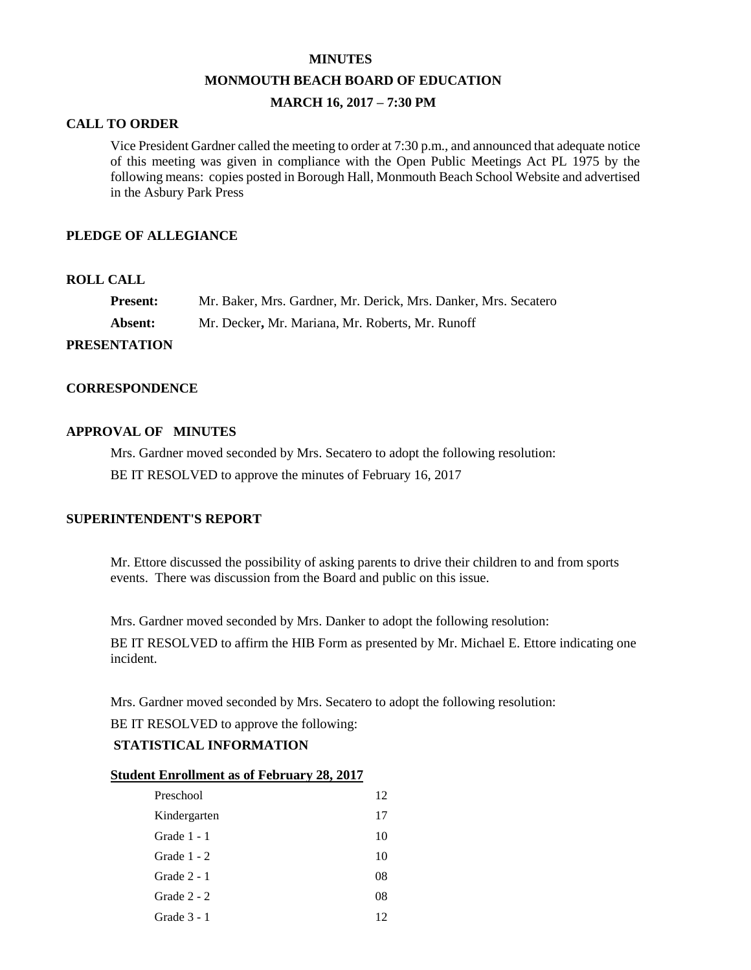#### **MINUTES**

#### **MONMOUTH BEACH BOARD OF EDUCATION**

## **MARCH 16, 2017 – 7:30 PM**

## **CALL TO ORDER**

Vice President Gardner called the meeting to order at 7:30 p.m., and announced that adequate notice of this meeting was given in compliance with the Open Public Meetings Act PL 1975 by the following means: copies posted in Borough Hall, Monmouth Beach School Website and advertised in the Asbury Park Press

## **PLEDGE OF ALLEGIANCE**

### **ROLL CALL**

| <b>Present:</b>  | Mr. Baker, Mrs. Gardner, Mr. Derick, Mrs. Danker, Mrs. Secatero |
|------------------|-----------------------------------------------------------------|
| <b>Absent:</b>   | Mr. Decker, Mr. Mariana, Mr. Roberts, Mr. Runoff                |
| **** * *** ^ * * |                                                                 |

# **PRESENTATION**

#### **CORRESPONDENCE**

### **APPROVAL OF MINUTES**

Mrs. Gardner moved seconded by Mrs. Secatero to adopt the following resolution:

BE IT RESOLVED to approve the minutes of February 16, 2017

## **SUPERINTENDENT'S REPORT**

Mr. Ettore discussed the possibility of asking parents to drive their children to and from sports events. There was discussion from the Board and public on this issue.

Mrs. Gardner moved seconded by Mrs. Danker to adopt the following resolution:

BE IT RESOLVED to affirm the HIB Form as presented by Mr. Michael E. Ettore indicating one incident.

Mrs. Gardner moved seconded by Mrs. Secatero to adopt the following resolution:

BE IT RESOLVED to approve the following:

## **STATISTICAL INFORMATION**

#### **Student Enrollment as of February 28, 2017**

| Preschool     | 12 |
|---------------|----|
| Kindergarten  | 17 |
| Grade 1 - 1   | 10 |
| Grade $1 - 2$ | 10 |
| Grade $2 - 1$ | 08 |
| Grade $2 - 2$ | 08 |
| Grade 3 - 1   | 12 |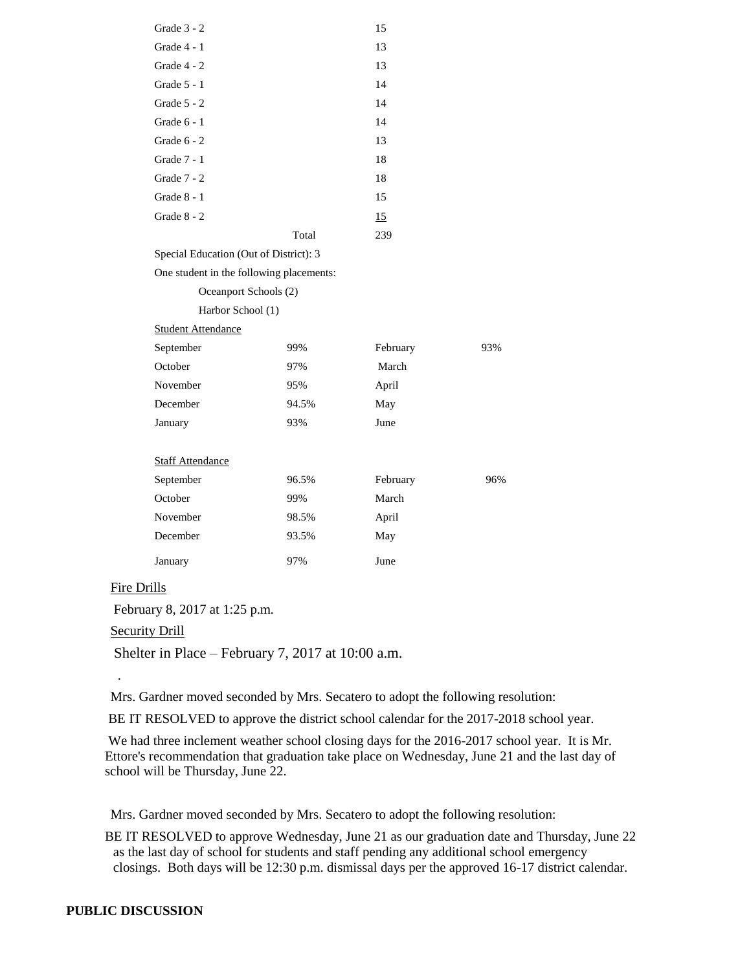| Grade 3 - 2                              |       | 15       |     |
|------------------------------------------|-------|----------|-----|
| Grade $4 - 1$                            |       | 13       |     |
| Grade 4 - 2                              |       | 13       |     |
| Grade 5 - 1                              |       | 14       |     |
| Grade $5 - 2$                            |       | 14       |     |
| Grade 6 - 1                              |       | 14       |     |
| Grade 6 - 2                              |       | 13       |     |
| Grade 7 - 1                              |       | 18       |     |
| Grade 7 - 2                              |       | 18       |     |
| Grade $8 - 1$                            |       | 15       |     |
| Grade 8 - 2                              |       | 15       |     |
|                                          | Total | 239      |     |
| Special Education (Out of District): 3   |       |          |     |
| One student in the following placements: |       |          |     |
| Oceanport Schools (2)                    |       |          |     |
| Harbor School (1)                        |       |          |     |
| <b>Student Attendance</b>                |       |          |     |
| September                                | 99%   | February | 93% |
| October                                  | 97%   | March    |     |
| November                                 | 95%   | April    |     |
| December                                 | 94.5% | May      |     |
| January                                  | 93%   | June     |     |
|                                          |       |          |     |
| <b>Staff Attendance</b>                  |       |          |     |
| September                                | 96.5% | February | 96% |
| October                                  | 99%   | March    |     |
| November                                 | 98.5% | April    |     |
| December                                 | 93.5% | May      |     |
| January                                  | 97%   | June     |     |
|                                          |       |          |     |

## Fire Drills

February 8, 2017 at 1:25 p.m.

**Security Drill** 

.

Shelter in Place – February 7, 2017 at 10:00 a.m.

Mrs. Gardner moved seconded by Mrs. Secatero to adopt the following resolution:

BE IT RESOLVED to approve the district school calendar for the 2017-2018 school year.

We had three inclement weather school closing days for the 2016-2017 school year. It is Mr. Ettore's recommendation that graduation take place on Wednesday, June 21 and the last day of school will be Thursday, June 22.

Mrs. Gardner moved seconded by Mrs. Secatero to adopt the following resolution:

BE IT RESOLVED to approve Wednesday, June 21 as our graduation date and Thursday, June 22 as the last day of school for students and staff pending any additional school emergency closings. Both days will be 12:30 p.m. dismissal days per the approved 16-17 district calendar.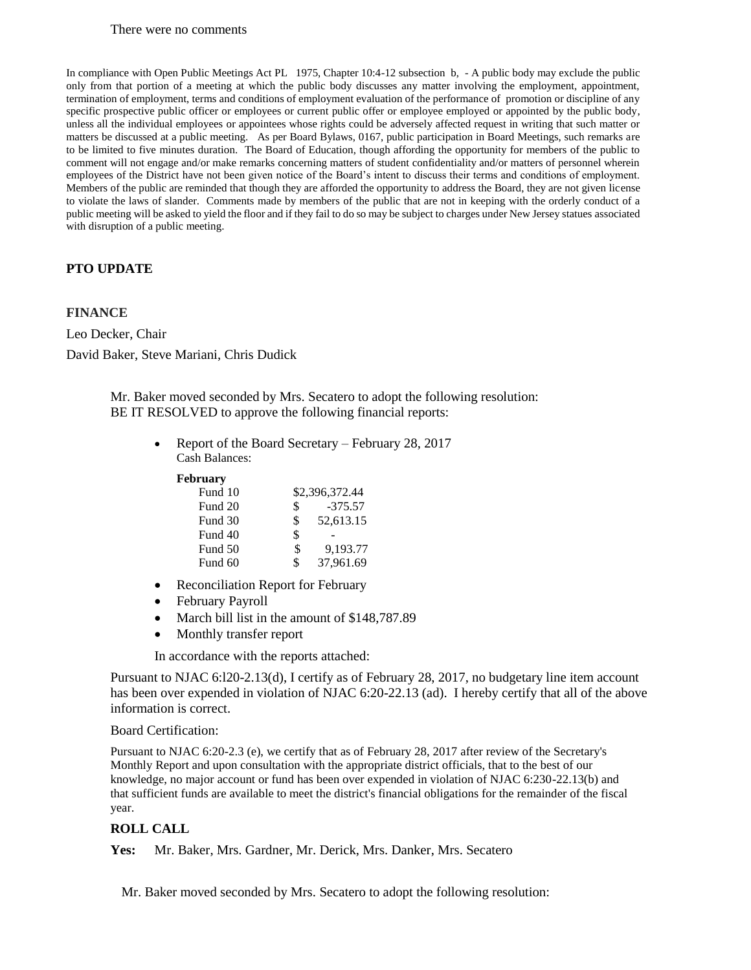#### There were no comments

In compliance with Open Public Meetings Act PL 1975, Chapter 10:4-12 subsection b, - A public body may exclude the public only from that portion of a meeting at which the public body discusses any matter involving the employment, appointment, termination of employment, terms and conditions of employment evaluation of the performance of promotion or discipline of any specific prospective public officer or employees or current public offer or employee employed or appointed by the public body, unless all the individual employees or appointees whose rights could be adversely affected request in writing that such matter or matters be discussed at a public meeting. As per Board Bylaws, 0167, public participation in Board Meetings, such remarks are to be limited to five minutes duration. The Board of Education, though affording the opportunity for members of the public to comment will not engage and/or make remarks concerning matters of student confidentiality and/or matters of personnel wherein employees of the District have not been given notice of the Board's intent to discuss their terms and conditions of employment. Members of the public are reminded that though they are afforded the opportunity to address the Board, they are not given license to violate the laws of slander. Comments made by members of the public that are not in keeping with the orderly conduct of a public meeting will be asked to yield the floor and if they fail to do so may be subject to charges under New Jersey statues associated with disruption of a public meeting.

## **PTO UPDATE**

## **FINANCE**

Leo Decker, Chair David Baker, Steve Mariani, Chris Dudick

> Mr. Baker moved seconded by Mrs. Secatero to adopt the following resolution: BE IT RESOLVED to approve the following financial reports:

> > • Report of the Board Secretary – February 28, 2017 Cash Balances:

#### **February**

| Fund 10 | \$2,396,372.44  |
|---------|-----------------|
| Fund 20 | \$<br>$-375.57$ |
| Fund 30 | \$<br>52,613.15 |
| Fund 40 | \$              |
| Fund 50 | \$<br>9.193.77  |
| Fund 60 | \$<br>37,961.69 |

- Reconciliation Report for February
- February Payroll
- March bill list in the amount of \$148,787.89
- Monthly transfer report

In accordance with the reports attached:

Pursuant to NJAC 6:l20-2.13(d), I certify as of February 28, 2017, no budgetary line item account has been over expended in violation of NJAC 6:20-22.13 (ad). I hereby certify that all of the above information is correct.

#### Board Certification:

Pursuant to NJAC 6:20-2.3 (e), we certify that as of February 28, 2017 after review of the Secretary's Monthly Report and upon consultation with the appropriate district officials, that to the best of our knowledge, no major account or fund has been over expended in violation of NJAC 6:230-22.13(b) and that sufficient funds are available to meet the district's financial obligations for the remainder of the fiscal year.

## **ROLL CALL**

**Yes:** Mr. Baker, Mrs. Gardner, Mr. Derick, Mrs. Danker, Mrs. Secatero

Mr. Baker moved seconded by Mrs. Secatero to adopt the following resolution: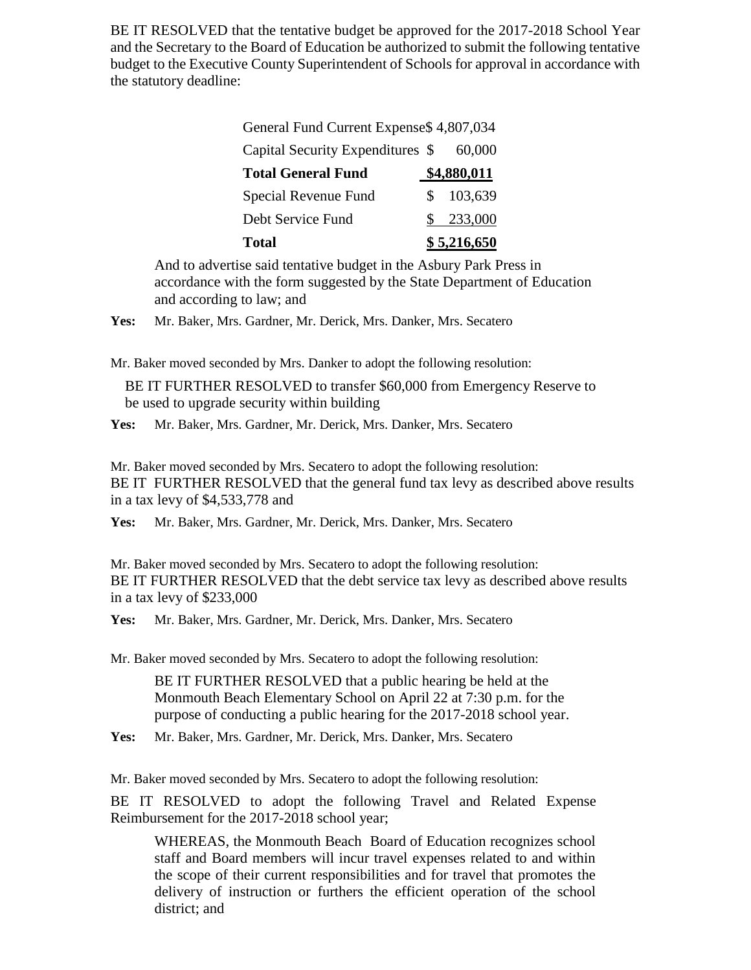BE IT RESOLVED that the tentative budget be approved for the 2017-2018 School Year and the Secretary to the Board of Education be authorized to submit the following tentative budget to the Executive County Superintendent of Schools for approval in accordance with the statutory deadline:

| <b>Total</b>                             |  | \$5,216,650 |  |
|------------------------------------------|--|-------------|--|
| Debt Service Fund                        |  | \$233,000   |  |
| Special Revenue Fund                     |  | 103,639     |  |
| <b>Total General Fund</b>                |  | \$4,880,011 |  |
| Capital Security Expenditures \$         |  | 60,000      |  |
| General Fund Current Expense \$4,807,034 |  |             |  |

And to advertise said tentative budget in the Asbury Park Press in accordance with the form suggested by the State Department of Education and according to law; and

**Yes:** Mr. Baker, Mrs. Gardner, Mr. Derick, Mrs. Danker, Mrs. Secatero

Mr. Baker moved seconded by Mrs. Danker to adopt the following resolution:

BE IT FURTHER RESOLVED to transfer \$60,000 from Emergency Reserve to be used to upgrade security within building

**Yes:** Mr. Baker, Mrs. Gardner, Mr. Derick, Mrs. Danker, Mrs. Secatero

Mr. Baker moved seconded by Mrs. Secatero to adopt the following resolution: BE IT FURTHER RESOLVED that the general fund tax levy as described above results in a tax levy of \$4,533,778 and

**Yes:** Mr. Baker, Mrs. Gardner, Mr. Derick, Mrs. Danker, Mrs. Secatero

Mr. Baker moved seconded by Mrs. Secatero to adopt the following resolution: BE IT FURTHER RESOLVED that the debt service tax levy as described above results in a tax levy of \$233,000

**Yes:** Mr. Baker, Mrs. Gardner, Mr. Derick, Mrs. Danker, Mrs. Secatero

Mr. Baker moved seconded by Mrs. Secatero to adopt the following resolution:

BE IT FURTHER RESOLVED that a public hearing be held at the Monmouth Beach Elementary School on April 22 at 7:30 p.m. for the purpose of conducting a public hearing for the 2017-2018 school year.

**Yes:** Mr. Baker, Mrs. Gardner, Mr. Derick, Mrs. Danker, Mrs. Secatero

Mr. Baker moved seconded by Mrs. Secatero to adopt the following resolution:

BE IT RESOLVED to adopt the following Travel and Related Expense Reimbursement for the 2017-2018 school year;

WHEREAS, the Monmouth Beach Board of Education recognizes school staff and Board members will incur travel expenses related to and within the scope of their current responsibilities and for travel that promotes the delivery of instruction or furthers the efficient operation of the school district; and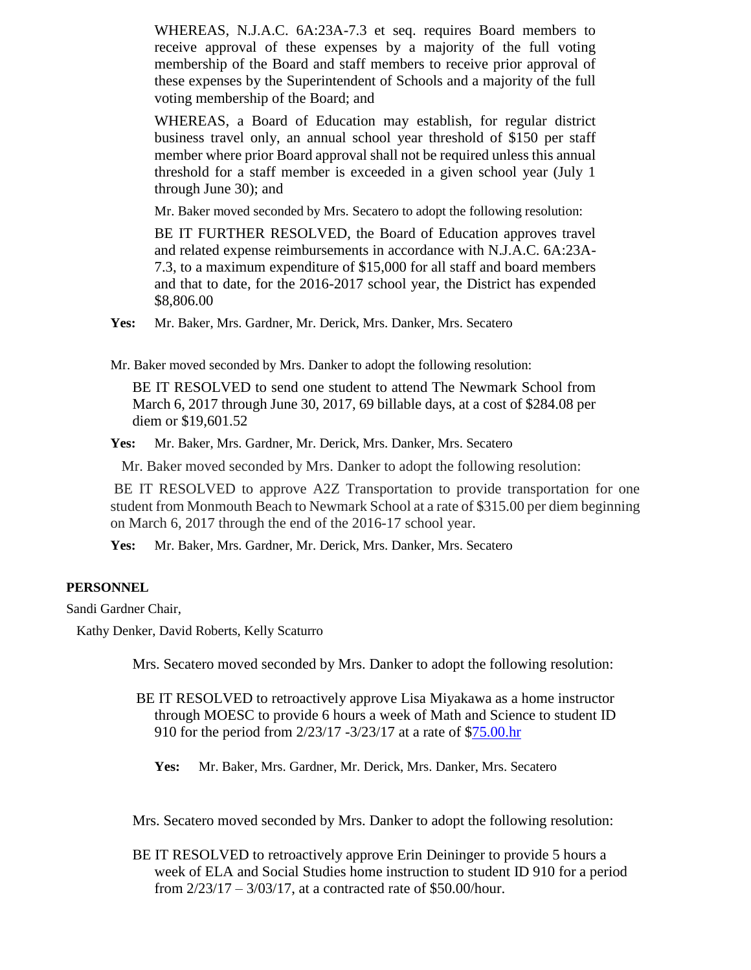WHEREAS, N.J.A.C. 6A:23A-7.3 et seq. requires Board members to receive approval of these expenses by a majority of the full voting membership of the Board and staff members to receive prior approval of these expenses by the Superintendent of Schools and a majority of the full voting membership of the Board; and

WHEREAS, a Board of Education may establish, for regular district business travel only, an annual school year threshold of \$150 per staff member where prior Board approval shall not be required unless this annual threshold for a staff member is exceeded in a given school year (July 1 through June 30); and

Mr. Baker moved seconded by Mrs. Secatero to adopt the following resolution:

BE IT FURTHER RESOLVED, the Board of Education approves travel and related expense reimbursements in accordance with N.J.A.C. 6A:23A-7.3, to a maximum expenditure of \$15,000 for all staff and board members and that to date, for the 2016-2017 school year, the District has expended \$8,806.00

**Yes:** Mr. Baker, Mrs. Gardner, Mr. Derick, Mrs. Danker, Mrs. Secatero

Mr. Baker moved seconded by Mrs. Danker to adopt the following resolution:

BE IT RESOLVED to send one student to attend The Newmark School from March 6, 2017 through June 30, 2017, 69 billable days, at a cost of \$284.08 per diem or \$19,601.52

**Yes:** Mr. Baker, Mrs. Gardner, Mr. Derick, Mrs. Danker, Mrs. Secatero

Mr. Baker moved seconded by Mrs. Danker to adopt the following resolution:

BE IT RESOLVED to approve A2Z Transportation to provide transportation for one student from Monmouth Beach to Newmark School at a rate of \$315.00 per diem beginning on March 6, 2017 through the end of the 2016-17 school year.

**Yes:** Mr. Baker, Mrs. Gardner, Mr. Derick, Mrs. Danker, Mrs. Secatero

## **PERSONNEL**

Sandi Gardner Chair,

Kathy Denker, David Roberts, Kelly Scaturro

Mrs. Secatero moved seconded by Mrs. Danker to adopt the following resolution:

- BE IT RESOLVED to retroactively approve Lisa Miyakawa as a home instructor through MOESC to provide 6 hours a week of Math and Science to student ID 910 for the period from 2/23/17 -3/23/17 at a rate of [\\$75.00.hr](http://75.00.hr/)
	- **Yes:** Mr. Baker, Mrs. Gardner, Mr. Derick, Mrs. Danker, Mrs. Secatero

Mrs. Secatero moved seconded by Mrs. Danker to adopt the following resolution:

BE IT RESOLVED to retroactively approve Erin Deininger to provide 5 hours a week of ELA and Social Studies home instruction to student ID 910 for a period from 2/23/17 – 3/03/17, at a contracted rate of \$50.00/hour.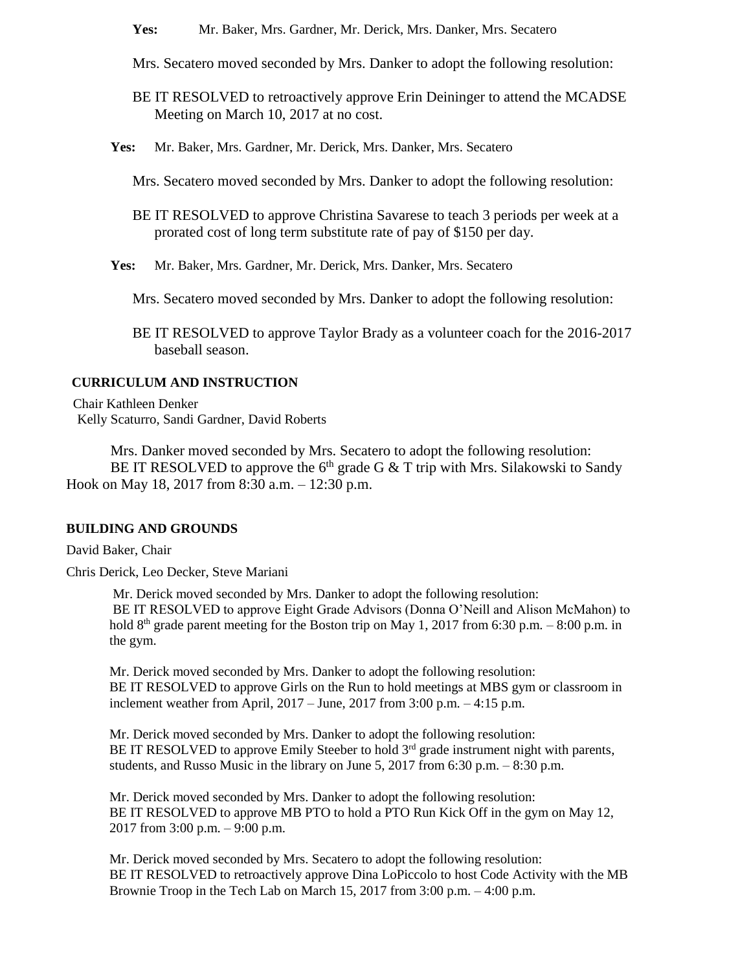**Yes:** Mr. Baker, Mrs. Gardner, Mr. Derick, Mrs. Danker, Mrs. Secatero

- Mrs. Secatero moved seconded by Mrs. Danker to adopt the following resolution:
- BE IT RESOLVED to retroactively approve Erin Deininger to attend the MCADSE Meeting on March 10, 2017 at no cost.
- **Yes:** Mr. Baker, Mrs. Gardner, Mr. Derick, Mrs. Danker, Mrs. Secatero

Mrs. Secatero moved seconded by Mrs. Danker to adopt the following resolution:

- BE IT RESOLVED to approve Christina Savarese to teach 3 periods per week at a prorated cost of long term substitute rate of pay of \$150 per day.
- **Yes:** Mr. Baker, Mrs. Gardner, Mr. Derick, Mrs. Danker, Mrs. Secatero

Mrs. Secatero moved seconded by Mrs. Danker to adopt the following resolution:

BE IT RESOLVED to approve Taylor Brady as a volunteer coach for the 2016-2017 baseball season.

## **CURRICULUM AND INSTRUCTION**

Chair Kathleen Denker Kelly Scaturro, Sandi Gardner, David Roberts

Mrs. Danker moved seconded by Mrs. Secatero to adopt the following resolution: BE IT RESOLVED to approve the  $6<sup>th</sup>$  grade G & T trip with Mrs. Silakowski to Sandy Hook on May 18, 2017 from 8:30 a.m. – 12:30 p.m.

#### **BUILDING AND GROUNDS**

David Baker, Chair

Chris Derick, Leo Decker, Steve Mariani

Mr. Derick moved seconded by Mrs. Danker to adopt the following resolution: BE IT RESOLVED to approve Eight Grade Advisors (Donna O'Neill and Alison McMahon) to hold  $8<sup>th</sup>$  grade parent meeting for the Boston trip on May 1, 2017 from 6:30 p.m. – 8:00 p.m. in the gym.

Mr. Derick moved seconded by Mrs. Danker to adopt the following resolution: BE IT RESOLVED to approve Girls on the Run to hold meetings at MBS gym or classroom in inclement weather from April,  $2017 - June$ ,  $2017$  from  $3:00$  p.m.  $-4:15$  p.m.

Mr. Derick moved seconded by Mrs. Danker to adopt the following resolution: BE IT RESOLVED to approve Emily Steeber to hold  $3<sup>rd</sup>$  grade instrument night with parents, students, and Russo Music in the library on June 5, 2017 from 6:30 p.m. – 8:30 p.m.

Mr. Derick moved seconded by Mrs. Danker to adopt the following resolution: BE IT RESOLVED to approve MB PTO to hold a PTO Run Kick Off in the gym on May 12, 2017 from 3:00 p.m. – 9:00 p.m.

Mr. Derick moved seconded by Mrs. Secatero to adopt the following resolution: BE IT RESOLVED to retroactively approve Dina LoPiccolo to host Code Activity with the MB Brownie Troop in the Tech Lab on March 15, 2017 from 3:00 p.m. – 4:00 p.m.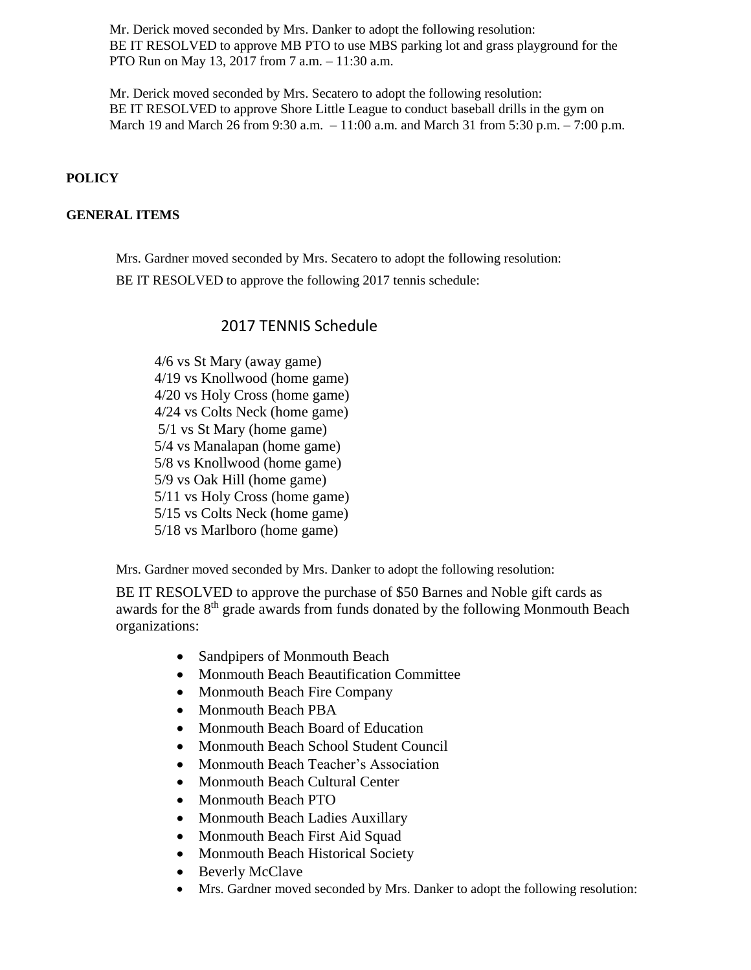Mr. Derick moved seconded by Mrs. Danker to adopt the following resolution: BE IT RESOLVED to approve MB PTO to use MBS parking lot and grass playground for the PTO Run on May 13, 2017 from 7 a.m. – 11:30 a.m.

Mr. Derick moved seconded by Mrs. Secatero to adopt the following resolution: BE IT RESOLVED to approve Shore Little League to conduct baseball drills in the gym on March 19 and March 26 from 9:30 a.m. – 11:00 a.m. and March 31 from 5:30 p.m. – 7:00 p.m.

## **POLICY**

## **GENERAL ITEMS**

Mrs. Gardner moved seconded by Mrs. Secatero to adopt the following resolution: BE IT RESOLVED to approve the following 2017 tennis schedule:

# 2017 TENNIS Schedule

4/6 vs St Mary (away game) 4/19 vs Knollwood (home game) 4/20 vs Holy Cross (home game) 4/24 vs Colts Neck (home game) 5/1 vs St Mary (home game) 5/4 vs Manalapan (home game) 5/8 vs Knollwood (home game) 5/9 vs Oak Hill (home game) 5/11 vs Holy Cross (home game) 5/15 vs Colts Neck (home game) 5/18 vs Marlboro (home game)

Mrs. Gardner moved seconded by Mrs. Danker to adopt the following resolution:

BE IT RESOLVED to approve the purchase of \$50 Barnes and Noble gift cards as awards for the 8<sup>th</sup> grade awards from funds donated by the following Monmouth Beach organizations:

- Sandpipers of Monmouth Beach
- Monmouth Beach Beautification Committee
- Monmouth Beach Fire Company
- Monmouth Beach PBA
- Monmouth Beach Board of Education
- Monmouth Beach School Student Council
- Monmouth Beach Teacher's Association
- Monmouth Beach Cultural Center
- Monmouth Beach PTO
- Monmouth Beach Ladies Auxillary
- Monmouth Beach First Aid Squad
- Monmouth Beach Historical Society
- Beverly McClave
- Mrs. Gardner moved seconded by Mrs. Danker to adopt the following resolution: